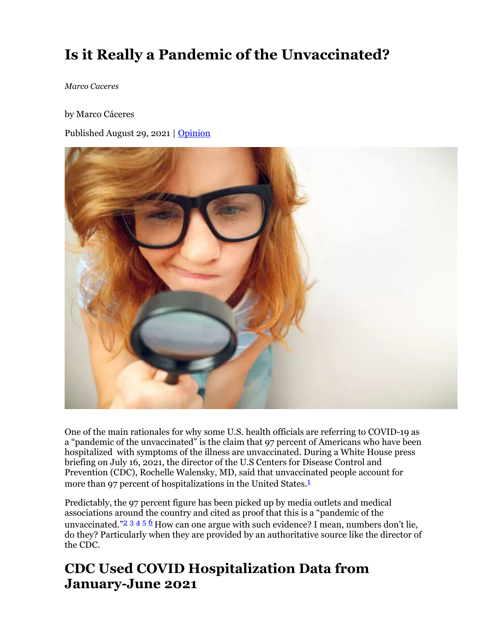# **Is it Really a Pandemic of the Unvaccinated?**

*Marco Caceres*

by Marco Cáceres

Published August 29, 2021 | Opinion



One of the main rationales for why some U.S. health officials are referring to COVID-19 as a "pandemic of the unvaccinated" is the claim that 97 percent of Americans who have been hospitalized with symptoms of the illness are unvaccinated. During a White House press briefing on July 16, 2021, the director of the U.S Centers for Disease Control and Prevention (CDC), Rochelle Walensky, MD, said that unvaccinated people account for more than 97 percent of hospitalizations in the United States.<sup>1</sup>

Predictably, the 97 percent figure has been picked up by media outlets and medical associations around the country and cited as proof that this is a "pandemic of the unvaccinated."<sup>2</sup>  $3456$  How can one argue with such evidence? I mean, numbers don't lie, do they? Particularly when they are provided by an authoritative source like the director of the CDC.

## **CDC Used COVID Hospitalization Data from January-June 2021**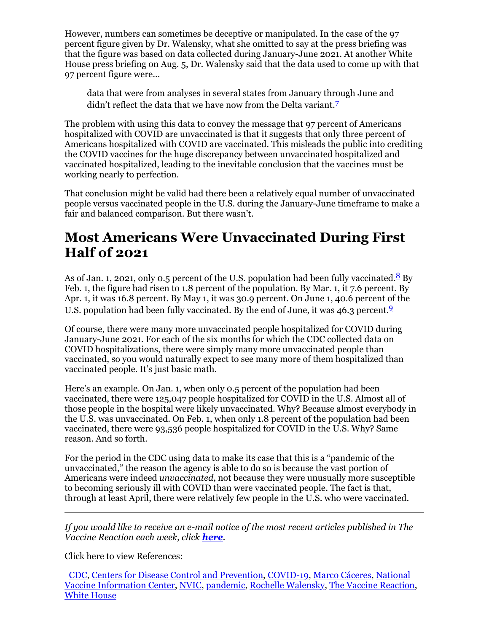However, numbers can sometimes be deceptive or manipulated. In the case of the 97 percent figure given by Dr. Walensky, what she omitted to say at the press briefing was that the figure was based on data collected during January-June 2021. At another White House press briefing on Aug. 5, Dr. Walensky said that the data used to come up with that 97 percent figure were…

data that were from analyses in several states from January through June and didn't reflect the data that we have now from the Delta variant.<sup>7</sup>

The problem with using this data to convey the message that 97 percent of Americans hospitalized with COVID are unvaccinated is that it suggests that only three percent of Americans hospitalized with COVID are vaccinated. This misleads the public into crediting the COVID vaccines for the huge discrepancy between unvaccinated hospitalized and vaccinated hospitalized, leading to the inevitable conclusion that the vaccines must be working nearly to perfection.

That conclusion might be valid had there been a relatively equal number of unvaccinated people versus vaccinated people in the U.S. during the January-June timeframe to make a fair and balanced comparison. But there wasn't.

## **Most Americans Were Unvaccinated During First Half of 2021**

As of Jan. 1, 2021, only 0.5 percent of the U.S. population had been fully vaccinated.  $8\text{ By}$ Feb. 1, the figure had risen to 1.8 percent of the population. By Mar. 1, it 7.6 percent. By Apr. 1, it was 16.8 percent. By May 1, it was 30.9 percent. On June 1, 40.6 percent of the U.S. population had been fully vaccinated. By the end of June, it was 46.3 percent.<sup>9</sup>

Of course, there were many more unvaccinated people hospitalized for COVID during January-June 2021. For each of the six months for which the CDC collected data on COVID hospitalizations, there were simply many more unvaccinated people than vaccinated, so you would naturally expect to see many more of them hospitalized than vaccinated people. It's just basic math.

Here's an example. On Jan. 1, when only 0.5 percent of the population had been vaccinated, there were 125,047 people hospitalized for COVID in the U.S. Almost all of those people in the hospital were likely unvaccinated. Why? Because almost everybody in the U.S. was unvaccinated. On Feb. 1, when only 1.8 percent of the population had been vaccinated, there were 93,536 people hospitalized for COVID in the U.S. Why? Same reason. And so forth.

For the period in the CDC using data to make its case that this is a "pandemic of the unvaccinated," the reason the agency is able to do so is because the vast portion of Americans were indeed *unvaccinated*, not because they were unusually more susceptible to becoming seriously ill with COVID than were vaccinated people. The fact is that, through at least April, there were relatively few people in the U.S. who were vaccinated.

*If you would like to receive an e-mail notice of the most recent articles published in The Vaccine Reaction each week, click here.*

Click here to view References:

CDC, Centers for Disease Control and Prevention, COVID-19, Marco Cáceres, National Vaccine Information Center, NVIC, pandemic, Rochelle Walensky, The Vaccine Reaction, White House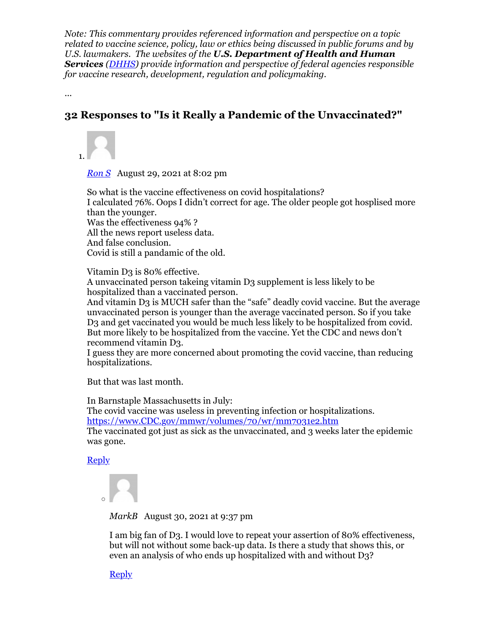*Note: This commentary provides referenced information and perspective on a topic related to vaccine science, policy, law or ethics being discussed in public forums and by U.S. lawmakers. The websites of the U.S. Department of Health and Human Services (DHHS) provide information and perspective of federal agencies responsible for vaccine research, development, regulation and policymaking.*

...

### **32 Responses to "Is it Really a Pandemic of the Unvaccinated?"**

1.

*Ron S* August 29, 2021 at 8:02 pm

So what is the vaccine effectiveness on covid hospitalations? I calculated 76%. Oops I didn't correct for age. The older people got hosplised more than the younger. Was the effectiveness 94% ? All the news report useless data. And false conclusion. Covid is still a pandamic of the old.

Vitamin D3 is 80% effective.

A unvaccinated person takeing vitamin D3 supplement is less likely to be hospitalized than a vaccinated person.

And vitamin D3 is MUCH safer than the "safe" deadly covid vaccine. But the average unvaccinated person is younger than the average vaccinated person. So if you take D3 and get vaccinated you would be much less likely to be hospitalized from covid. But more likely to be hospitalized from the vaccine. Yet the CDC and news don't recommend vitamin D3.

I guess they are more concerned about promoting the covid vaccine, than reducing hospitalizations.

But that was last month.

In Barnstaple Massachusetts in July:

The covid vaccine was useless in preventing infection or hospitalizations. https://www.CDC.gov/mmwr/volumes/70/wr/mm7031e2.htm

The vaccinated got just as sick as the unvaccinated, and 3 weeks later the epidemic was gone.

**Reply** 



*MarkB* August 30, 2021 at 9:37 pm

I am big fan of D3. I would love to repeat your assertion of 80% effectiveness, but will not without some back-up data. Is there a study that shows this, or even an analysis of who ends up hospitalized with and without D3?

**Reply**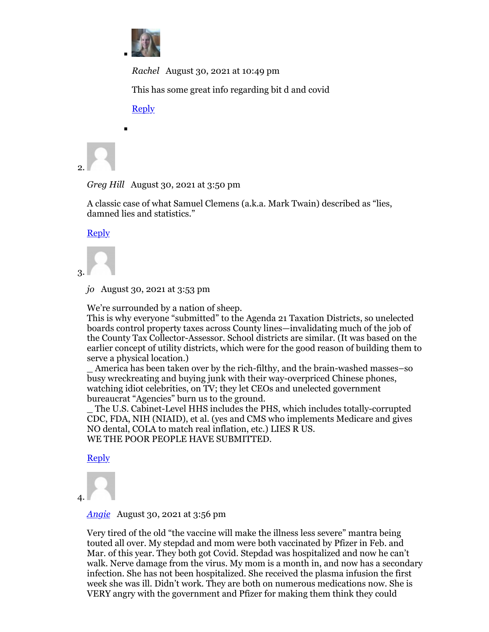

*Rachel* August 30, 2021 at 10:49 pm

This has some great info regarding bit d and covid

Reply



*Greg Hill* August 30, 2021 at 3:50 pm

A classic case of what Samuel Clemens (a.k.a. Mark Twain) described as "lies, damned lies and statistics."

**Reply** 



*jo* August 30, 2021 at 3:53 pm

We're surrounded by a nation of sheep.

This is why everyone "submitted" to the Agenda 21 Taxation Districts, so unelected boards control property taxes across County lines—invalidating much of the job of the County Tax Collector-Assessor. School districts are similar. (It was based on the earlier concept of utility districts, which were for the good reason of building them to serve a physical location.)

\_ America has been taken over by the rich-filthy, and the brain-washed masses–so busy wreckreating and buying junk with their way-overpriced Chinese phones, watching idiot celebrities, on TV; they let CEOs and unelected government bureaucrat "Agencies" burn us to the ground.

The U.S. Cabinet-Level HHS includes the PHS, which includes totally-corrupted CDC, FDA, NIH (NIAID), et al. (yes and CMS who implements Medicare and gives NO dental, COLA to match real inflation, etc.) LIES R US. WE THE POOR PEOPLE HAVE SUBMITTED.

Reply

4.

*Angie* August 30, 2021 at 3:56 pm

Very tired of the old "the vaccine will make the illness less severe" mantra being touted all over. My stepdad and mom were both vaccinated by Pfizer in Feb. and Mar. of this year. They both got Covid. Stepdad was hospitalized and now he can't walk. Nerve damage from the virus. My mom is a month in, and now has a secondary infection. She has not been hospitalized. She received the plasma infusion the first week she was ill. Didn't work. They are both on numerous medications now. She is VERY angry with the government and Pfizer for making them think they could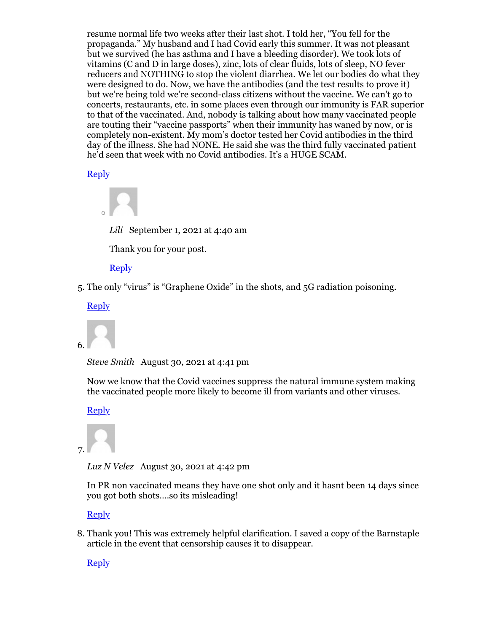resume normal life two weeks after their last shot. I told her, "You fell for the propaganda." My husband and I had Covid early this summer. It was not pleasant but we survived (he has asthma and I have a bleeding disorder). We took lots of vitamins (C and D in large doses), zinc, lots of clear fluids, lots of sleep, NO fever reducers and NOTHING to stop the violent diarrhea. We let our bodies do what they were designed to do. Now, we have the antibodies (and the test results to prove it) but we're being told we're second-class citizens without the vaccine. We can't go to concerts, restaurants, etc. in some places even through our immunity is FAR superior to that of the vaccinated. And, nobody is talking about how many vaccinated people are touting their "vaccine passports" when their immunity has waned by now, or is completely non-existent. My mom's doctor tested her Covid antibodies in the third day of the illness. She had NONE. He said she was the third fully vaccinated patient he'd seen that week with no Covid antibodies. It's a HUGE SCAM.

**Reply** 



*Lili* September 1, 2021 at 4:40 am

Thank you for your post.

Reply

5. The only "virus" is "Graphene Oxide" in the shots, and 5G radiation poisoning.

**Reply** 



*Steve Smith* August 30, 2021 at 4:41 pm

Now we know that the Covid vaccines suppress the natural immune system making the vaccinated people more likely to become ill from variants and other viruses.

Reply



*Luz N Velez* August 30, 2021 at 4:42 pm

In PR non vaccinated means they have one shot only and it hasnt been 14 days since you got both shots….so its misleading!

Reply

8. Thank you! This was extremely helpful clarification. I saved a copy of the Barnstaple article in the event that censorship causes it to disappear.

**Reply**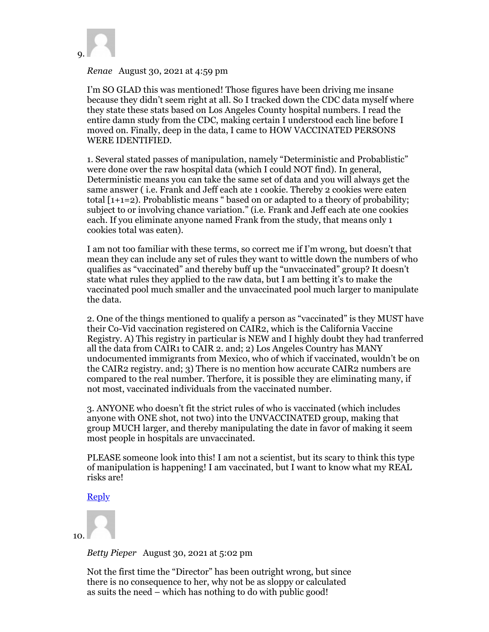

#### *Renae* August 30, 2021 at 4:59 pm

I'm SO GLAD this was mentioned! Those figures have been driving me insane because they didn't seem right at all. So I tracked down the CDC data myself where they state these stats based on Los Angeles County hospital numbers. I read the entire damn study from the CDC, making certain I understood each line before I moved on. Finally, deep in the data, I came to HOW VACCINATED PERSONS WERE IDENTIFIED.

1. Several stated passes of manipulation, namely "Deterministic and Probablistic" were done over the raw hospital data (which I could NOT find). In general, Deterministic means you can take the same set of data and you will always get the same answer ( i.e. Frank and Jeff each ate 1 cookie. Thereby 2 cookies were eaten total [1+1=2). Probablistic means " based on or adapted to a theory of probability; subject to or involving chance variation." (i.e. Frank and Jeff each ate one cookies each. If you eliminate anyone named Frank from the study, that means only 1 cookies total was eaten).

I am not too familiar with these terms, so correct me if I'm wrong, but doesn't that mean they can include any set of rules they want to wittle down the numbers of who qualifies as "vaccinated" and thereby buff up the "unvaccinated" group? It doesn't state what rules they applied to the raw data, but I am betting it's to make the vaccinated pool much smaller and the unvaccinated pool much larger to manipulate the data.

2. One of the things mentioned to qualify a person as "vaccinated" is they MUST have their Co-Vid vaccination registered on CAIR2, which is the California Vaccine Registry. A) This registry in particular is NEW and I highly doubt they had tranferred all the data from CAIR1 to CAIR 2. and; 2) Los Angeles Country has MANY undocumented immigrants from Mexico, who of which if vaccinated, wouldn't be on the CAIR2 registry. and; 3) There is no mention how accurate CAIR2 numbers are compared to the real number. Therfore, it is possible they are eliminating many, if not most, vaccinated individuals from the vaccinated number.

3. ANYONE who doesn't fit the strict rules of who is vaccinated (which includes anyone with ONE shot, not two) into the UNVACCINATED group, making that group MUCH larger, and thereby manipulating the date in favor of making it seem most people in hospitals are unvaccinated.

PLEASE someone look into this! I am not a scientist, but its scary to think this type of manipulation is happening! I am vaccinated, but I want to know what my REAL risks are!

#### Reply

10.

*Betty Pieper* August 30, 2021 at 5:02 pm

Not the first time the "Director" has been outright wrong, but since there is no consequence to her, why not be as sloppy or calculated as suits the need – which has nothing to do with public good!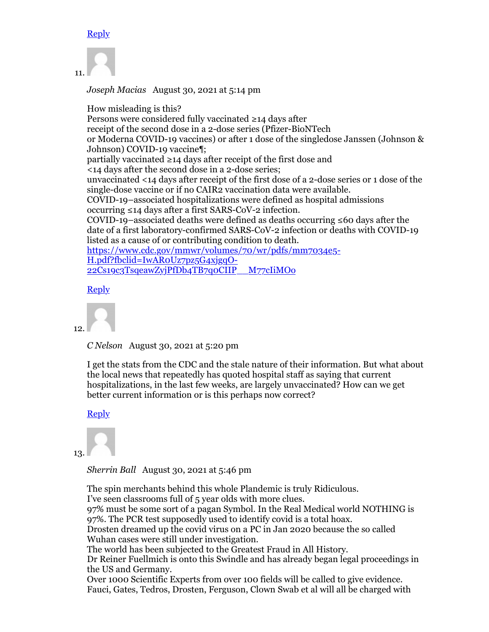#### **Reply**



*Joseph Macias* August 30, 2021 at 5:14 pm

How misleading is this? Persons were considered fully vaccinated ≥14 days after receipt of the second dose in a 2-dose series (Pfizer-BioNTech or Moderna COVID-19 vaccines) or after 1 dose of the singledose Janssen (Johnson & Johnson) COVID-19 vaccine¶; partially vaccinated ≥14 days after receipt of the first dose and <14 days after the second dose in a 2-dose series; unvaccinated <14 days after receipt of the first dose of a 2-dose series or 1 dose of the single-dose vaccine or if no CAIR2 vaccination data were available. COVID-19–associated hospitalizations were defined as hospital admissions occurring ≤14 days after a first SARS-CoV-2 infection. COVID-19–associated deaths were defined as deaths occurring ≤60 days after the date of a first laboratory-confirmed SARS-CoV-2 infection or deaths with COVID-19 listed as a cause of or contributing condition to death. https://www.cdc.gov/mmwr/volumes/70/wr/pdfs/mm7034e5- H.pdf?fbclid=IwAR0Uz7pz5G4xjgqO-22Cs19c3TsqeawZyjPfDb4TB7q0CIIP\_\_M77cIiMOo

**Reply** 

12.

*C Nelson* August 30, 2021 at 5:20 pm

I get the stats from the CDC and the stale nature of their information. But what about the local news that repeatedly has quoted hospital staff as saying that current hospitalizations, in the last few weeks, are largely unvaccinated? How can we get better current information or is this perhaps now correct?

#### Reply



*Sherrin Ball* August 30, 2021 at 5:46 pm

The spin merchants behind this whole Plandemic is truly Ridiculous. I've seen classrooms full of 5 year olds with more clues. 97% must be some sort of a pagan Symbol. In the Real Medical world NOTHING is 97%. The PCR test supposedly used to identify covid is a total hoax. Drosten dreamed up the covid virus on a PC in Jan 2020 because the so called Wuhan cases were still under investigation. The world has been subjected to the Greatest Fraud in All History. Dr Reiner Fuellmich is onto this Swindle and has already began legal proceedings in the US and Germany. Over 1000 Scientific Experts from over 100 fields will be called to give evidence. Fauci, Gates, Tedros, Drosten, Ferguson, Clown Swab et al will all be charged with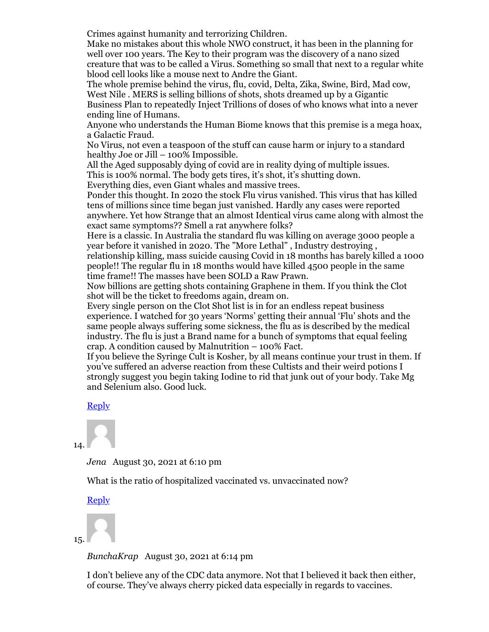Crimes against humanity and terrorizing Children.

Make no mistakes about this whole NWO construct, it has been in the planning for well over 100 years. The Key to their program was the discovery of a nano sized creature that was to be called a Virus. Something so small that next to a regular white blood cell looks like a mouse next to Andre the Giant.

The whole premise behind the virus, flu, covid, Delta, Zika, Swine, Bird, Mad cow, West Nile . MERS is selling billions of shots, shots dreamed up by a Gigantic Business Plan to repeatedly Inject Trillions of doses of who knows what into a never ending line of Humans.

Anyone who understands the Human Biome knows that this premise is a mega hoax, a Galactic Fraud.

No Virus, not even a teaspoon of the stuff can cause harm or injury to a standard healthy Joe or Jill – 100% Impossible.

All the Aged supposably dying of covid are in reality dying of multiple issues. This is 100% normal. The body gets tires, it's shot, it's shutting down.

Everything dies, even Giant whales and massive trees.

Ponder this thought. In 2020 the stock Flu virus vanished. This virus that has killed tens of millions since time began just vanished. Hardly any cases were reported anywhere. Yet how Strange that an almost Identical virus came along with almost the exact same symptoms?? Smell a rat anywhere folks?

Here is a classic. In Australia the standard flu was killing on average 3000 people a year before it vanished in 2020. The "More Lethal" , Industry destroying ,

relationship killing, mass suicide causing Covid in 18 months has barely killed a 1000 people!! The regular flu in 18 months would have killed 4500 people in the same time frame!! The masses have been SOLD a Raw Prawn.

Now billions are getting shots containing Graphene in them. If you think the Clot shot will be the ticket to freedoms again, dream on.

Every single person on the Clot Shot list is in for an endless repeat business experience. I watched for 30 years 'Norms' getting their annual 'Flu' shots and the same people always suffering some sickness, the flu as is described by the medical industry. The flu is just a Brand name for a bunch of symptoms that equal feeling crap. A condition caused by Malnutrition – 100% Fact.

If you believe the Syringe Cult is Kosher, by all means continue your trust in them. If you've suffered an adverse reaction from these Cultists and their weird potions I strongly suggest you begin taking Iodine to rid that junk out of your body. Take Mg and Selenium also. Good luck.

#### Reply

14.

*Jena* August 30, 2021 at 6:10 pm

What is the ratio of hospitalized vaccinated vs. unvaccinated now?

#### **Reply**

15.

*BunchaKrap* August 30, 2021 at 6:14 pm

I don't believe any of the CDC data anymore. Not that I believed it back then either, of course. They've always cherry picked data especially in regards to vaccines.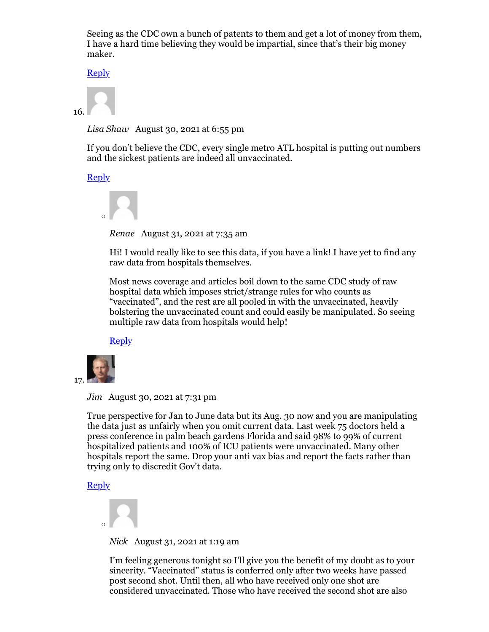Seeing as the CDC own a bunch of patents to them and get a lot of money from them, I have a hard time believing they would be impartial, since that's their big money maker.

Reply

16.

*Lisa Shaw* August 30, 2021 at 6:55 pm

If you don't believe the CDC, every single metro ATL hospital is putting out numbers and the sickest patients are indeed all unvaccinated.

Reply



*Renae* August 31, 2021 at 7:35 am

Hi! I would really like to see this data, if you have a link! I have yet to find any raw data from hospitals themselves.

Most news coverage and articles boil down to the same CDC study of raw hospital data which imposes strict/strange rules for who counts as "vaccinated", and the rest are all pooled in with the unvaccinated, heavily bolstering the unvaccinated count and could easily be manipulated. So seeing multiple raw data from hospitals would help!

**Reply** 



*Jim* August 30, 2021 at 7:31 pm

True perspective for Jan to June data but its Aug. 30 now and you are manipulating the data just as unfairly when you omit current data. Last week 75 doctors held a press conference in palm beach gardens Florida and said 98% to 99% of current hospitalized patients and 100% of ICU patients were unvaccinated. Many other hospitals report the same. Drop your anti vax bias and report the facts rather than trying only to discredit Gov't data.

Reply



*Nick* August 31, 2021 at 1:19 am

I'm feeling generous tonight so I'll give you the benefit of my doubt as to your sincerity. "Vaccinated" status is conferred only after two weeks have passed post second shot. Until then, all who have received only one shot are considered unvaccinated. Those who have received the second shot are also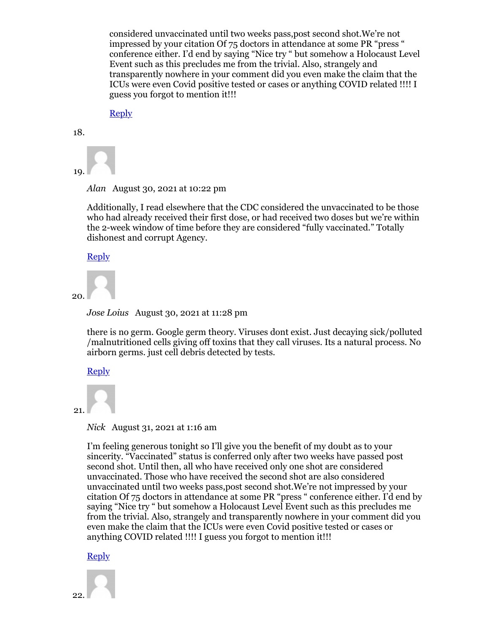considered unvaccinated until two weeks pass,post second shot.We're not impressed by your citation Of 75 doctors in attendance at some PR "press " conference either. I'd end by saying "Nice try " but somehow a Holocaust Level Event such as this precludes me from the trivial. Also, strangely and transparently nowhere in your comment did you even make the claim that the ICUs were even Covid positive tested or cases or anything COVID related !!!! I guess you forgot to mention it!!!

**Reply** 

18.

19.

*Alan* August 30, 2021 at 10:22 pm

Additionally, I read elsewhere that the CDC considered the unvaccinated to be those who had already received their first dose, or had received two doses but we're within the 2-week window of time before they are considered "fully vaccinated." Totally dishonest and corrupt Agency.

Reply



*Jose Loius* August 30, 2021 at 11:28 pm

there is no germ. Google germ theory. Viruses dont exist. Just decaying sick/polluted /malnutritioned cells giving off toxins that they call viruses. Its a natural process. No airborn germs. just cell debris detected by tests.

#### Reply

21.

*Nick* August 31, 2021 at 1:16 am

I'm feeling generous tonight so I'll give you the benefit of my doubt as to your sincerity. "Vaccinated" status is conferred only after two weeks have passed post second shot. Until then, all who have received only one shot are considered unvaccinated. Those who have received the second shot are also considered unvaccinated until two weeks pass,post second shot.We're not impressed by your citation Of 75 doctors in attendance at some PR "press " conference either. I'd end by saying "Nice try " but somehow a Holocaust Level Event such as this precludes me from the trivial. Also, strangely and transparently nowhere in your comment did you even make the claim that the ICUs were even Covid positive tested or cases or anything COVID related !!!! I guess you forgot to mention it!!!

Reply

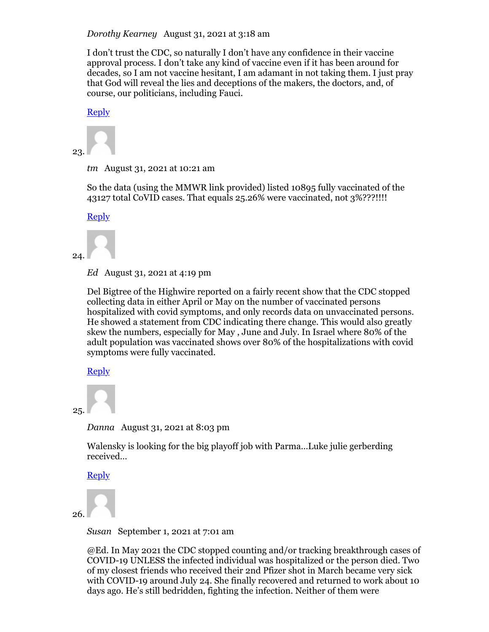*Dorothy Kearney* August 31, 2021 at 3:18 am

I don't trust the CDC, so naturally I don't have any confidence in their vaccine approval process. I don't take any kind of vaccine even if it has been around for decades, so I am not vaccine hesitant, I am adamant in not taking them. I just pray that God will reveal the lies and deceptions of the makers, the doctors, and, of course, our politicians, including Fauci.

Reply

23.

*tm* August 31, 2021 at 10:21 am

So the data (using the MMWR link provided) listed 10895 fully vaccinated of the 43127 total CoVID cases. That equals 25.26% were vaccinated, not 3%???!!!!

Reply



#### 24.

*Ed* August 31, 2021 at 4:19 pm

Del Bigtree of the Highwire reported on a fairly recent show that the CDC stopped collecting data in either April or May on the number of vaccinated persons hospitalized with covid symptoms, and only records data on unvaccinated persons. He showed a statement from CDC indicating there change. This would also greatly skew the numbers, especially for May , June and July. In Israel where 80% of the adult population was vaccinated shows over 80% of the hospitalizations with covid symptoms were fully vaccinated.

Reply

```
25.
```
*Danna* August 31, 2021 at 8:03 pm

Walensky is looking for the big playoff job with Parma…Luke julie gerberding received…

Reply

26.

*Susan* September 1, 2021 at 7:01 am

@Ed. In May 2021 the CDC stopped counting and/or tracking breakthrough cases of COVID-19 UNLESS the infected individual was hospitalized or the person died. Two of my closest friends who received their 2nd Pfizer shot in March became very sick with COVID-19 around July 24. She finally recovered and returned to work about 10 days ago. He's still bedridden, fighting the infection. Neither of them were